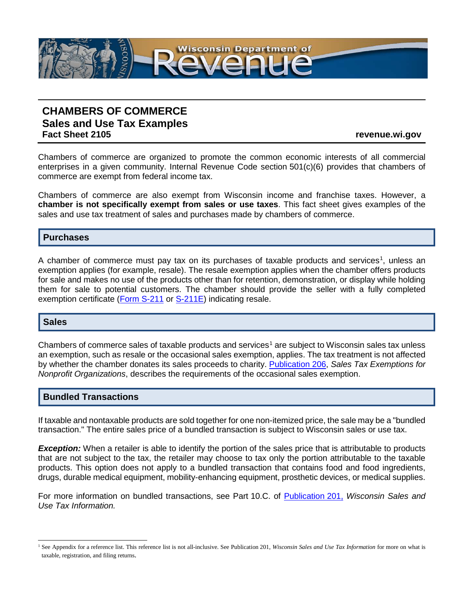

# **CHAMBERS OF COMMERCE Sales and Use Tax Examples**

**Fact Sheet 2105 revenue.wi.gov**

Chambers of commerce are organized to promote the common economic interests of all commercial enterprises in a given community. Internal Revenue Code section 501(c)(6) provides that chambers of commerce are exempt from federal income tax.

Chambers of commerce are also exempt from Wisconsin income and franchise taxes. However, a **chamber is not specifically exempt from sales or use taxes**. This fact sheet gives examples of the sales and use tax treatment of sales and purchases made by chambers of commerce.

## **Purchases**

A chamber of commerce must pay tax on its purchases of taxable products and services<sup>[1](#page-0-0)</sup>, unless an exemption applies (for example, resale). The resale exemption applies when the chamber offers products for sale and makes no use of the products other than for retention, demonstration, or display while holding them for sale to potential customers. The chamber should provide the seller with a fully completed exemption certificate [\(Form S-211](https://www.revenue.wi.gov/DORForms/s-211f.pdf) or [S-211E\)](https://www.revenue.wi.gov/Pages/SalesAndUse/ExemptionCertificate.aspx) indicating resale.

#### **Sales**

Chambers of commerce sales of taxable products and services<sup>[1](#page-0-1)</sup> are subject to Wisconsin sales tax unless an exemption, such as resale or the occasional sales exemption, applies. The tax treatment is not affected by whether the chamber donates its sales proceeds to charity. [Publication](http://www.revenue.wi.gov/pubs/pb206.pdf) 206, *Sales Tax Exemptions for Nonprofit Organizations*, describes the requirements of the occasional sales exemption.

# **Bundled Transactions**

If taxable and nontaxable products are sold together for one non-itemized price, the sale may be a "bundled transaction." The entire sales price of a bundled transaction is subject to Wisconsin sales or use tax.

*Exception:* When a retailer is able to identify the portion of the sales price that is attributable to products that are not subject to the tax, the retailer may choose to tax only the portion attributable to the taxable products. This option does not apply to a bundled transaction that contains food and food ingredients, drugs, durable medical equipment, mobility-enhancing equipment, prosthetic devices, or medical supplies.

For more information on bundled transactions, see Part 10.C. of [Publication](http://www.revenue.wi.gov/pubs/pb201.pdf) 201, *Wisconsin Sales and Use Tax Information.*

<span id="page-0-1"></span><span id="page-0-0"></span><sup>&</sup>lt;sup>1</sup> See Appendix for a reference list. This reference list is not all-inclusive. See Publication 201, *Wisconsin Sales and Use Tax Information* for more on what is taxable, registration, and filing returns.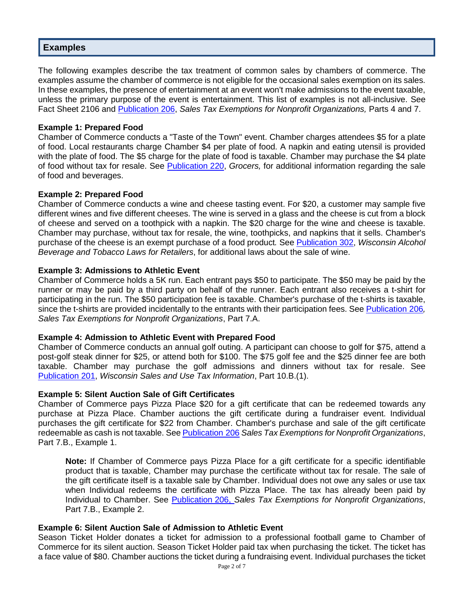## **Examples**

The following examples describe the tax treatment of common sales by chambers of commerce. The examples assume the chamber of commerce is not eligible for the occasional sales exemption on its sales. In these examples, the presence of entertainment at an event won't make admissions to the event taxable, unless the primary purpose of the event is entertainment. This list of examples is not all-inclusive. See Fact Sheet 2106 and [Publication](http://www.revenue.wi.gov/pubs/pb206.pdf) 206, *Sales Tax Exemptions for Nonprofit Organizations,* Parts 4 and 7.

#### **Example 1: Prepared Food**

Chamber of Commerce conducts a "Taste of the Town" event. Chamber charges attendees \$5 for a plate of food. Local restaurants charge Chamber \$4 per plate of food. A napkin and eating utensil is provided with the plate of food. The \$5 charge for the plate of food is taxable. Chamber may purchase the \$4 plate of food without tax for resale. See [Publication](http://www.revenue.wi.gov/pubs/pb220.pdf) 220, *Grocers,* for additional information regarding the sale of food and beverages.

#### **Example 2: Prepared Food**

Chamber of Commerce conducts a wine and cheese tasting event. For \$20, a customer may sample five different wines and five different cheeses. The wine is served in a glass and the cheese is cut from a block of cheese and served on a toothpick with a napkin. The \$20 charge for the wine and cheese is taxable. Chamber may purchase, without tax for resale, the wine, toothpicks, and napkins that it sells. Chamber's purchase of the cheese is an exempt purchase of a food product*.* See [Publication](http://www.revenue.wi.gov/pubs/pb302.pdf) 302, *Wisconsin Alcohol Beverage and Tobacco Laws for Retailers*, for additional laws about the sale of wine.

#### **Example 3: Admissions to Athletic Event**

Chamber of Commerce holds a 5K run. Each entrant pays \$50 to participate. The \$50 may be paid by the runner or may be paid by a third party on behalf of the runner. Each entrant also receives a t-shirt for participating in the run. The \$50 participation fee is taxable. Chamber's purchase of the t-shirts is taxable, since the t-shirts are provided incidentally to the entrants with their participation fees. See [Publication](http://www.revenue.wi.gov/pubs/pb206.pdf) 206*, Sales Tax Exemptions for Nonprofit Organizations*, Part 7.A.

#### **Example 4: Admission to Athletic Event with Prepared Food**

Chamber of Commerce conducts an annual golf outing. A participant can choose to golf for \$75, attend a post-golf steak dinner for \$25, or attend both for \$100. The \$75 golf fee and the \$25 dinner fee are both taxable. Chamber may purchase the golf admissions and dinners without tax for resale. See [Publication](http://www.revenue.wi.gov/pubs/pb201.pdf) 201, *Wisconsin Sales and Use Tax Information*, Part 10.B.(1).

#### **Example 5: Silent Auction Sale of Gift Certificates**

Chamber of Commerce pays Pizza Place \$20 for a gift certificate that can be redeemed towards any purchase at Pizza Place. Chamber auctions the gift certificate during a fundraiser event. Individual purchases the gift certificate for \$22 from Chamber. Chamber's purchase and sale of the gift certificate redeemable as cash is not taxable. See [Publication](http://www.revenue.wi.gov/pubs/pb206.pdf) 206 *Sales Tax Exemptions for Nonprofit Organizations*, Part 7.B., Example 1.

**Note:** If Chamber of Commerce pays Pizza Place for a gift certificate for a specific identifiable product that is taxable, Chamber may purchase the certificate without tax for resale. The sale of the gift certificate itself is a taxable sale by Chamber. Individual does not owe any sales or use tax when Individual redeems the certificate with Pizza Place. The tax has already been paid by Individual to Chamber. See [Publication](http://www.revenue.wi.gov/pubs/pb206.pdf) 206, *Sales Tax Exemptions for Nonprofit Organizations*, Part 7.B., Example 2.

#### **Example 6: Silent Auction Sale of Admission to Athletic Event**

Season Ticket Holder donates a ticket for admission to a professional football game to Chamber of Commerce for its silent auction. Season Ticket Holder paid tax when purchasing the ticket. The ticket has a face value of \$80. Chamber auctions the ticket during a fundraising event. Individual purchases the ticket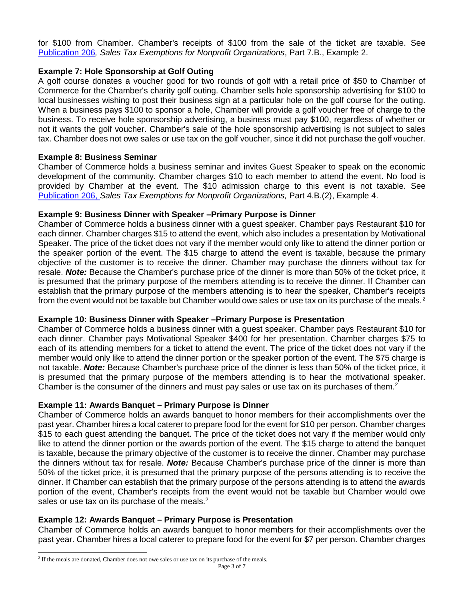for \$100 from Chamber. Chamber's receipts of \$100 from the sale of the ticket are taxable. See [Publication](http://www.revenue.wi.gov/pubs/pb206.pdf) 206*, Sales Tax Exemptions for Nonprofit Organizations*, Part 7.B., Example 2.

## **Example 7: Hole Sponsorship at Golf Outing**

A golf course donates a voucher good for two rounds of golf with a retail price of \$50 to Chamber of Commerce for the Chamber's charity golf outing. Chamber sells hole sponsorship advertising for \$100 to local businesses wishing to post their business sign at a particular hole on the golf course for the outing. When a business pays \$100 to sponsor a hole, Chamber will provide a golf voucher free of charge to the business. To receive hole sponsorship advertising, a business must pay \$100, regardless of whether or not it wants the golf voucher. Chamber's sale of the hole sponsorship advertising is not subject to sales tax. Chamber does not owe sales or use tax on the golf voucher, since it did not purchase the golf voucher.

#### **Example 8: Business Seminar**

Chamber of Commerce holds a business seminar and invites Guest Speaker to speak on the economic development of the community. Chamber charges \$10 to each member to attend the event. No food is provided by Chamber at the event. The \$10 admission charge to this event is not taxable. See [Publication](http://www.revenue.wi.gov/pubs/pb206.pdf) 206, *Sales Tax Exemptions for Nonprofit Organizations,* Part 4.B.(2), Example 4.

#### **Example 9: Business Dinner with Speaker –Primary Purpose is Dinner**

Chamber of Commerce holds a business dinner with a guest speaker. Chamber pays Restaurant \$10 for each dinner. Chamber charges \$15 to attend the event, which also includes a presentation by Motivational Speaker. The price of the ticket does not vary if the member would only like to attend the dinner portion or the speaker portion of the event. The \$15 charge to attend the event is taxable, because the primary objective of the customer is to receive the dinner. Chamber may purchase the dinners without tax for resale. *Note:* Because the Chamber's purchase price of the dinner is more than 50% of the ticket price, it is presumed that the primary purpose of the members attending is to receive the dinner. If Chamber can establish that the primary purpose of the members attending is to hear the speaker, Chamber's receipts from the event would not be taxable but Chamber would owe sales or use tax on its purchase of the meals.<sup>[2](#page-2-0)</sup>

#### **Example 10: Business Dinner with Speaker –Primary Purpose is Presentation**

Chamber of Commerce holds a business dinner with a guest speaker. Chamber pays Restaurant \$10 for each dinner. Chamber pays Motivational Speaker \$400 for her presentation. Chamber charges \$75 to each of its attending members for a ticket to attend the event. The price of the ticket does not vary if the member would only like to attend the dinner portion or the speaker portion of the event. The \$75 charge is not taxable. *Note:* Because Chamber's purchase price of the dinner is less than 50% of the ticket price, it is presumed that the primary purpose of the members attending is to hear the motivational speaker. Chamber is the consumer of the dinners and must pay sales or use tax on its purchases of them.<sup>2</sup>

#### **Example 11: Awards Banquet – Primary Purpose is Dinner**

Chamber of Commerce holds an awards banquet to honor members for their accomplishments over the past year. Chamber hires a local caterer to prepare food for the event for \$10 per person. Chamber charges \$15 to each guest attending the banguet. The price of the ticket does not vary if the member would only like to attend the dinner portion or the awards portion of the event. The \$15 charge to attend the banquet is taxable, because the primary objective of the customer is to receive the dinner. Chamber may purchase the dinners without tax for resale. *Note:* Because Chamber's purchase price of the dinner is more than 50% of the ticket price, it is presumed that the primary purpose of the persons attending is to receive the dinner. If Chamber can establish that the primary purpose of the persons attending is to attend the awards portion of the event, Chamber's receipts from the event would not be taxable but Chamber would owe sales or use tax on its purchase of the meals.<sup>2</sup>

#### **Example 12: Awards Banquet – Primary Purpose is Presentation**

Chamber of Commerce holds an awards banquet to honor members for their accomplishments over the past year. Chamber hires a local caterer to prepare food for the event for \$7 per person. Chamber charges

<span id="page-2-0"></span><sup>&</sup>lt;sup>2</sup> If the meals are donated, Chamber does not owe sales or use tax on its purchase of the meals.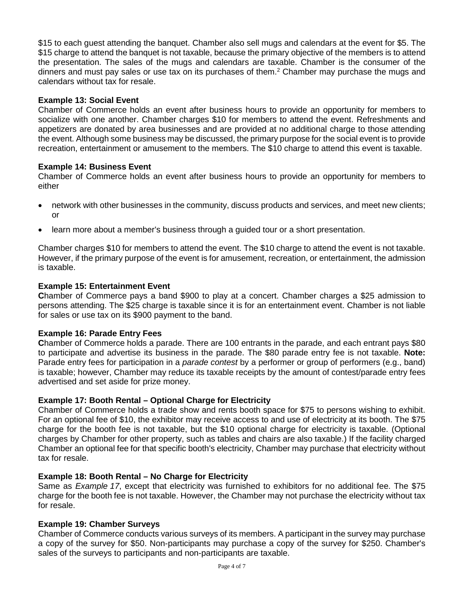\$15 to each guest attending the banquet. Chamber also sell mugs and calendars at the event for \$5. The \$15 charge to attend the banquet is not taxable, because the primary objective of the members is to attend the presentation. The sales of the mugs and calendars are taxable. Chamber is the consumer of the dinners and must pay sales or use tax on its purchases of them.<sup>2</sup> Chamber may purchase the mugs and calendars without tax for resale.

#### **Example 13: Social Event**

Chamber of Commerce holds an event after business hours to provide an opportunity for members to socialize with one another. Chamber charges \$10 for members to attend the event. Refreshments and appetizers are donated by area businesses and are provided at no additional charge to those attending the event. Although some business may be discussed, the primary purpose for the social event is to provide recreation, entertainment or amusement to the members. The \$10 charge to attend this event is taxable.

#### **Example 14: Business Event**

Chamber of Commerce holds an event after business hours to provide an opportunity for members to either

- network with other businesses in the community, discuss products and services, and meet new clients; or
- learn more about a member's business through a guided tour or a short presentation.

Chamber charges \$10 for members to attend the event. The \$10 charge to attend the event is not taxable. However, if the primary purpose of the event is for amusement, recreation, or entertainment, the admission is taxable.

#### **Example 15: Entertainment Event**

**C**hamber of Commerce pays a band \$900 to play at a concert. Chamber charges a \$25 admission to persons attending. The \$25 charge is taxable since it is for an entertainment event. Chamber is not liable for sales or use tax on its \$900 payment to the band.

#### **Example 16: Parade Entry Fees**

**C**hamber of Commerce holds a parade. There are 100 entrants in the parade, and each entrant pays \$80 to participate and advertise its business in the parade. The \$80 parade entry fee is not taxable. **Note:** Parade entry fees for participation in a *parade contest* by a performer or group of performers (e.g., band) is taxable; however, Chamber may reduce its taxable receipts by the amount of contest/parade entry fees advertised and set aside for prize money.

#### **Example 17: Booth Rental – Optional Charge for Electricity**

Chamber of Commerce holds a trade show and rents booth space for \$75 to persons wishing to exhibit. For an optional fee of \$10, the exhibitor may receive access to and use of electricity at its booth. The \$75 charge for the booth fee is not taxable, but the \$10 optional charge for electricity is taxable. (Optional charges by Chamber for other property, such as tables and chairs are also taxable.) If the facility charged Chamber an optional fee for that specific booth's electricity, Chamber may purchase that electricity without tax for resale.

#### **Example 18: Booth Rental – No Charge for Electricity**

Same as *Example 17*, except that electricity was furnished to exhibitors for no additional fee. The \$75 charge for the booth fee is not taxable. However, the Chamber may not purchase the electricity without tax for resale.

#### **Example 19: Chamber Surveys**

Chamber of Commerce conducts various surveys of its members. A participant in the survey may purchase a copy of the survey for \$50. Non-participants may purchase a copy of the survey for \$250. Chamber's sales of the surveys to participants and non-participants are taxable.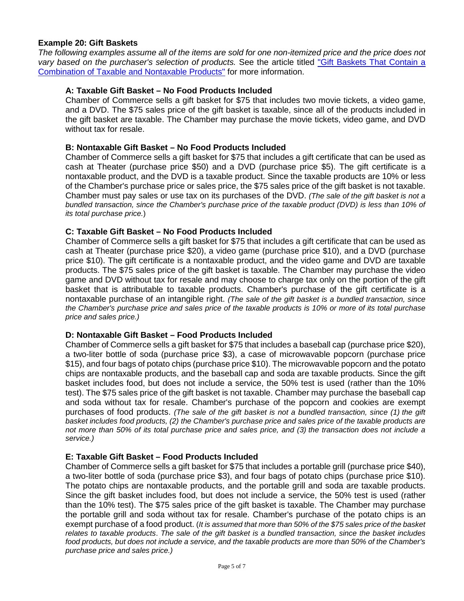#### **Example 20: Gift Baskets**

*The following examples assume all of the items are sold for one non-itemized price and the price does not vary based on the purchaser's selection of products.* See the article titled ["Gift Baskets That Contain a](https://www.revenue.wi.gov/Pages/TaxPro/2012/news-2012-120507c.aspx)  [Combination of Taxable and Nontaxable Products"](https://www.revenue.wi.gov/Pages/TaxPro/2012/news-2012-120507c.aspx) for more information.

#### **A: Taxable Gift Basket – No Food Products Included**

Chamber of Commerce sells a gift basket for \$75 that includes two movie tickets, a video game, and a DVD. The \$75 sales price of the gift basket is taxable, since all of the products included in the gift basket are taxable. The Chamber may purchase the movie tickets, video game, and DVD without tax for resale.

#### **B: Nontaxable Gift Basket – No Food Products Included**

Chamber of Commerce sells a gift basket for \$75 that includes a gift certificate that can be used as cash at Theater (purchase price \$50) and a DVD (purchase price \$5). The gift certificate is a nontaxable product, and the DVD is a taxable product. Since the taxable products are 10% or less of the Chamber's purchase price or sales price, the \$75 sales price of the gift basket is not taxable. Chamber must pay sales or use tax on its purchases of the DVD. *(The sale of the gift basket is not a bundled transaction, since the Chamber's purchase price of the taxable product (DVD) is less than 10% of its total purchase price.*)

#### **C: Taxable Gift Basket – No Food Products Included**

Chamber of Commerce sells a gift basket for \$75 that includes a gift certificate that can be used as cash at Theater (purchase price \$20), a video game (purchase price \$10), and a DVD (purchase price \$10). The gift certificate is a nontaxable product, and the video game and DVD are taxable products. The \$75 sales price of the gift basket is taxable. The Chamber may purchase the video game and DVD without tax for resale and may choose to charge tax only on the portion of the gift basket that is attributable to taxable products. Chamber's purchase of the gift certificate is a nontaxable purchase of an intangible right. *(The sale of the gift basket is a bundled transaction, since the Chamber's purchase price and sales price of the taxable products is 10% or more of its total purchase price and sales price.)*

#### **D: Nontaxable Gift Basket – Food Products Included**

Chamber of Commerce sells a gift basket for \$75 that includes a baseball cap (purchase price \$20), a two-liter bottle of soda (purchase price \$3), a case of microwavable popcorn (purchase price \$15), and four bags of potato chips (purchase price \$10). The microwavable popcorn and the potato chips are nontaxable products, and the baseball cap and soda are taxable products. Since the gift basket includes food, but does not include a service, the 50% test is used (rather than the 10% test). The \$75 sales price of the gift basket is not taxable. Chamber may purchase the baseball cap and soda without tax for resale. Chamber's purchase of the popcorn and cookies are exempt purchases of food products. *(The sale of the gift basket is not a bundled transaction, since (1) the gift basket includes food products, (2) the Chamber's purchase price and sales price of the taxable products are not more than 50% of its total purchase price and sales price, and (3) the transaction does not include a service.)*

#### **E: Taxable Gift Basket – Food Products Included**

Chamber of Commerce sells a gift basket for \$75 that includes a portable grill (purchase price \$40), a two-liter bottle of soda (purchase price \$3), and four bags of potato chips (purchase price \$10). The potato chips are nontaxable products, and the portable grill and soda are taxable products. Since the gift basket includes food, but does not include a service, the 50% test is used (rather than the 10% test). The \$75 sales price of the gift basket is taxable. The Chamber may purchase the portable grill and soda without tax for resale. Chamber's purchase of the potato chips is an exempt purchase of a food product. (*It is assumed that more than 50% of the \$75 sales price of the basket relates to taxable products*. *The sale of the gift basket is a bundled transaction, since the basket includes food products, but does not include a service, and the taxable products are more than 50% of the Chamber's purchase price and sales price.)*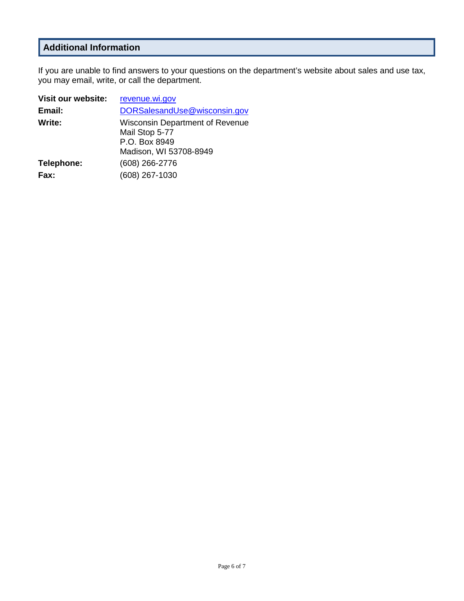# **Additional Information**

If you are unable to find answers to your questions on the department's website about sales and use tax, you may email, write, or call the department.

| Visit our website: | revenue.wi.gov                                                                                      |
|--------------------|-----------------------------------------------------------------------------------------------------|
| Email:             | DORSalesandUse@wisconsin.gov                                                                        |
| Write:             | <b>Wisconsin Department of Revenue</b><br>Mail Stop 5-77<br>P.O. Box 8949<br>Madison, WI 53708-8949 |
| Telephone:         | (608) 266-2776                                                                                      |
| Fax:               | (608) 267-1030                                                                                      |